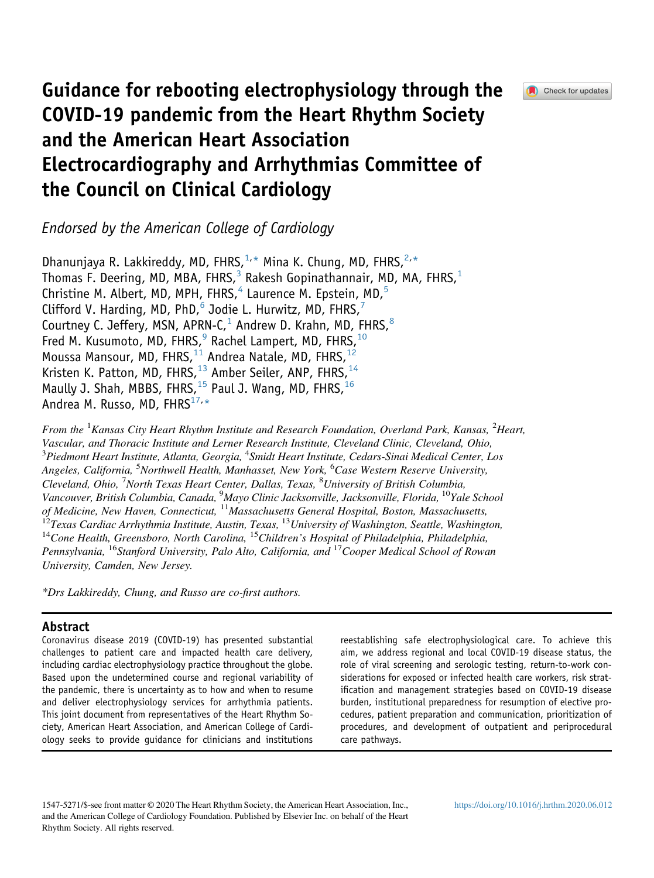

# Guidance for rebooting electrophysiology through the COVID-19 pandemic from the Heart Rhythm Society and the American Heart Association Electrocardiography and Arrhythmias Committee of the Council on Clinical Cardiology

Endorsed by the American College of Cardiology

Dhanunjaya R. Lakkireddy, MD, FHRS,  $1, *$  $1, *$  Mina K. Chung, MD, FHRS,  $2, *$  $2, *$ Thomas F. Deering, MD, MBA, FHRS,<sup>[3](#page-0-1)</sup> Rakesh Gopinathannair, MD, MA, FHRS,<sup>[1](#page-0-0)</sup> Christine M. Albert, MD, MPH, FHRS, $4$  Laurence M. Epstein, MD, $5$ Clifford V. Harding, MD, PhD, $^6$  $^6$  Jodie L. Hurwitz, MD, FHRS, $^7$  $^7$ Courtney C. Jeffery, MSN, APRN-C,<sup>[1](#page-0-0)</sup> Andrew D. Krahn, MD, FHRS, $^8$  $^8$ Fred M. Kusumoto, MD, FHRS,<sup>[9](#page-0-5)</sup> Rachel Lampert, MD, FHRS,<sup>[10](#page-0-5)</sup> Moussa Mansour, MD, FHRS, <sup>[11](#page-0-6)</sup> Andrea Natale, MD, FHRS, <sup>[12](#page-0-6)</sup> Kristen K. Patton, MD, FHRS,  $^{13}$  $^{13}$  $^{13}$  Amber Seiler, ANP, FHRS,  $^{14}$  $^{14}$  $^{14}$ Maully J. Shah, MBBS, FHRS,<sup>[15](#page-0-8)</sup> Paul J. Wang, MD, FHRS,<sup>[16](#page-0-9)</sup> Andrea M. Russo, MD, FHRS $^{17,*}$  $^{17,*}$  $^{17,*}$ 

<span id="page-0-6"></span><span id="page-0-5"></span><span id="page-0-4"></span><span id="page-0-3"></span><span id="page-0-2"></span><span id="page-0-1"></span><span id="page-0-0"></span>From the <sup>1</sup>Kansas City Heart Rhythm Institute and Research Foundation, Overland Park, Kansas, <sup>2</sup>Heart, Vascular, and Thoracic Institute and Lerner Research Institute, Cleveland Clinic, Cleveland, Ohio,  $^3$ Piedmont Heart Institute, Atlanta, Georgia,  $^4$ Smidt Heart Institute, Cedars-Sinai Medical Center, Los Angeles, California, <sup>5</sup>Northwell Health, Manhasset, New York, <sup>6</sup>Case Western Reserve University, Cleveland, Ohio, <sup>7</sup>North Texas Heart Center, Dallas, Texas, <sup>8</sup>University of British Columbia, Vancouver, British Columbia, Canada, <sup>9</sup>Mayo Clinic Jacksonville, Jacksonville, Florida, <sup>10</sup>Yale School of Medicine, New Haven, Connecticut, <sup>11</sup> Massachusetts General Hospital, Boston, Massachusetts,<br><sup>12</sup>Texas Cardiac Arrhythmia Institute, Austin, Texas, <sup>13</sup>University of Washington, Seattle, Washington,<br><sup>14</sup>Cone Health, Gr Pennsylvania, <sup>16</sup>Stanford University, Palo Alto, California, and <sup>17</sup> Cooper Medical School of Rowan University, Camden, New Jersey.

<span id="page-0-9"></span><span id="page-0-8"></span><span id="page-0-7"></span>\*Drs Lakkireddy, Chung, and Russo are co-first authors.

# Abstract

Coronavirus disease 2019 (COVID-19) has presented substantial challenges to patient care and impacted health care delivery, including cardiac electrophysiology practice throughout the globe. Based upon the undetermined course and regional variability of the pandemic, there is uncertainty as to how and when to resume and deliver electrophysiology services for arrhythmia patients. This joint document from representatives of the Heart Rhythm Society, American Heart Association, and American College of Cardiology seeks to provide guidance for clinicians and institutions

reestablishing safe electrophysiological care. To achieve this aim, we address regional and local COVID-19 disease status, the role of viral screening and serologic testing, return-to-work considerations for exposed or infected health care workers, risk stratification and management strategies based on COVID-19 disease burden, institutional preparedness for resumption of elective procedures, patient preparation and communication, prioritization of procedures, and development of outpatient and periprocedural care pathways.

1547-5271/\$-see front matter © 2020 The Heart Rhythm Society, the American Heart Association, Inc., and the American College of Cardiology Foundation. Published by Elsevier Inc. on behalf of the Heart Rhythm Society. All rights reserved.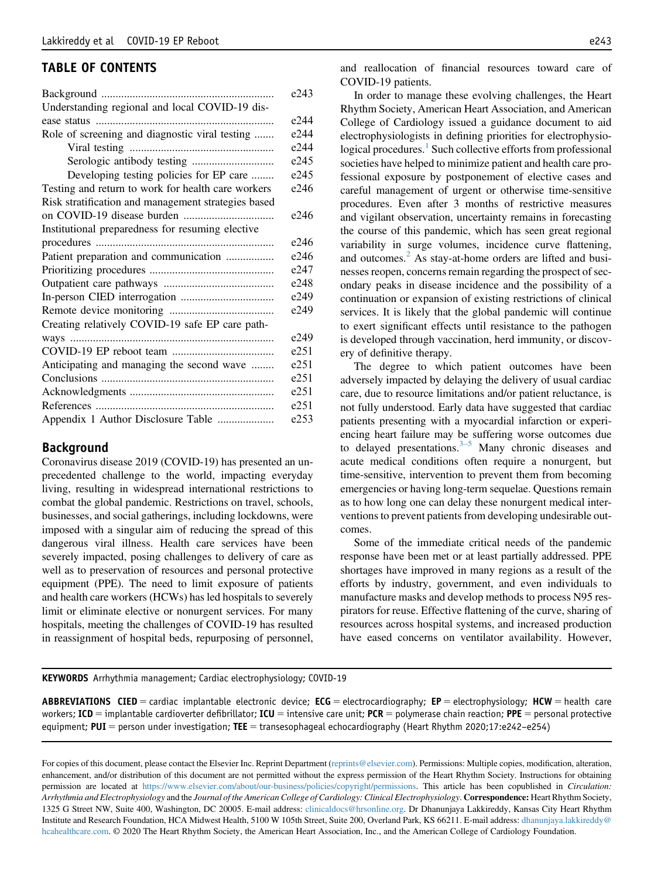# TABLE OF CONTENTS

|                                                     | e243 |
|-----------------------------------------------------|------|
| Understanding regional and local COVID-19 dis-      |      |
|                                                     | e244 |
| Role of screening and diagnostic viral testing      | e244 |
|                                                     | e244 |
|                                                     | e245 |
| Developing testing policies for EP care             | e245 |
| Testing and return to work for health care workers  | e246 |
| Risk stratification and management strategies based |      |
|                                                     | e246 |
| Institutional preparedness for resuming elective    |      |
|                                                     | e246 |
| Patient preparation and communication               | e246 |
|                                                     | e247 |
|                                                     | e248 |
|                                                     | e249 |
|                                                     | e249 |
| Creating relatively COVID-19 safe EP care path-     |      |
|                                                     | e249 |
|                                                     | e251 |
| Anticipating and managing the second wave           | e251 |
|                                                     | e251 |
|                                                     | e251 |
|                                                     | e251 |
| Appendix 1 Author Disclosure Table                  | e253 |

## Background

Coronavirus disease 2019 (COVID-19) has presented an unprecedented challenge to the world, impacting everyday living, resulting in widespread international restrictions to combat the global pandemic. Restrictions on travel, schools, businesses, and social gatherings, including lockdowns, were imposed with a singular aim of reducing the spread of this dangerous viral illness. Health care services have been severely impacted, posing challenges to delivery of care as well as to preservation of resources and personal protective equipment (PPE). The need to limit exposure of patients and health care workers (HCWs) has led hospitals to severely limit or eliminate elective or nonurgent services. For many hospitals, meeting the challenges of COVID-19 has resulted in reassignment of hospital beds, repurposing of personnel, and reallocation of financial resources toward care of COVID-19 patients.

In order to manage these evolving challenges, the Heart Rhythm Society, American Heart Association, and American College of Cardiology issued a guidance document to aid electrophysiologists in defining priorities for electrophysio-logical procedures.<sup>[1](#page-9-0)</sup> Such collective efforts from professional societies have helped to minimize patient and health care professional exposure by postponement of elective cases and careful management of urgent or otherwise time-sensitive procedures. Even after 3 months of restrictive measures and vigilant observation, uncertainty remains in forecasting the course of this pandemic, which has seen great regional variability in surge volumes, incidence curve flattening, and outcomes.<sup>[2](#page-9-1)</sup> As stay-at-home orders are lifted and businesses reopen, concerns remain regarding the prospect of secondary peaks in disease incidence and the possibility of a continuation or expansion of existing restrictions of clinical services. It is likely that the global pandemic will continue to exert significant effects until resistance to the pathogen is developed through vaccination, herd immunity, or discovery of definitive therapy.

The degree to which patient outcomes have been adversely impacted by delaying the delivery of usual cardiac care, due to resource limitations and/or patient reluctance, is not fully understood. Early data have suggested that cardiac patients presenting with a myocardial infarction or experiencing heart failure may [be](#page-9-2) suffering worse outcomes due to delayed presentations. $3-5$  Many chronic diseases and acute medical conditions often require a nonurgent, but time-sensitive, intervention to prevent them from becoming emergencies or having long-term sequelae. Questions remain as to how long one can delay these nonurgent medical interventions to prevent patients from developing undesirable outcomes.

Some of the immediate critical needs of the pandemic response have been met or at least partially addressed. PPE shortages have improved in many regions as a result of the efforts by industry, government, and even individuals to manufacture masks and develop methods to process N95 respirators for reuse. Effective flattening of the curve, sharing of resources across hospital systems, and increased production have eased concerns on ventilator availability. However,

KEYWORDS Arrhythmia management; Cardiac electrophysiology; COVID-19

**ABBREVIATIONS CIED** = cardiac implantable electronic device; **ECG** = electrocardiography; **EP** = electrophysiology; HCW = health care workers; ICD = implantable cardioverter defibrillator; ICU = intensive care unit; PCR = polymerase chain reaction; PPE = personal protective equipment; PUI = person under investigation; TEE = transesophageal echocardiography (Heart Rhythm 2020;17:e242-e254)

For copies of this document, please contact the Elsevier Inc. Reprint Department [\(reprints@elsevier.com](mailto:reprints@elsevier.com)). Permissions: Multiple copies, modification, alteration, enhancement, and/or distribution of this document are not permitted without the express permission of the Heart Rhythm Society. Instructions for obtaining permission are located at [https://www.elsevier.com/about/our-business/policies/copyright/permissions.](https://www.elsevier.com/about/our-business/policies/copyright/permissions) This article has been copublished in Circulation: Arrhythmia and Electrophysiology and the Journal of the American College of Cardiology: Clinical Electrophysiology. Correspondence: Heart Rhythm Society, 1325 G Street NW, Suite 400, Washington, DC 20005. E-mail address: [clinicaldocs@hrsonline.org.](mailto:clinicaldocs@hrsonline.org) Dr Dhanunjaya Lakkireddy, Kansas City Heart Rhythm Institute and Research Foundation, HCA Midwest Health, 5100 W 105th Street, Suite 200, Overland Park, KS 66211. E-mail address: [dhanunjaya.lakkireddy@](mailto:dhanunjaya.lakkireddy@hcahealthcare.com) [hcahealthcare.com.](mailto:dhanunjaya.lakkireddy@hcahealthcare.com) © 2020 The Heart Rhythm Society, the American Heart Association, Inc., and the American College of Cardiology Foundation.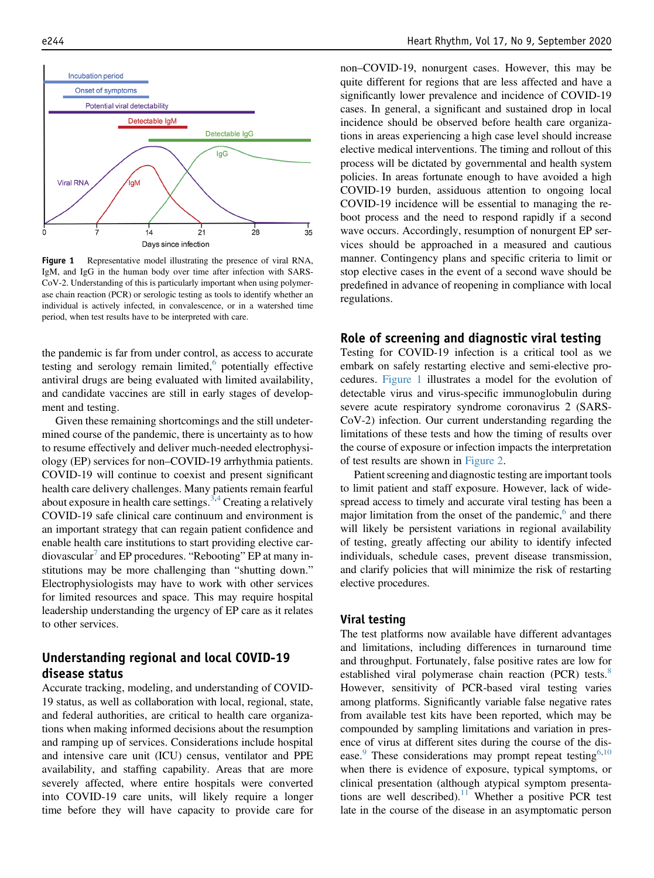<span id="page-2-0"></span>

Figure 1 Representative model illustrating the presence of viral RNA, IgM, and IgG in the human body over time after infection with SARS-CoV-2. Understanding of this is particularly important when using polymerase chain reaction (PCR) or serologic testing as tools to identify whether an individual is actively infected, in convalescence, or in a watershed time period, when test results have to be interpreted with care.

the pandemic is far from under control, as access to accurate testing and serology remain limited, $6$  potentially effective antiviral drugs are being evaluated with limited availability, and candidate vaccines are still in early stages of development and testing.

Given these remaining shortcomings and the still undetermined course of the pandemic, there is uncertainty as to how to resume effectively and deliver much-needed electrophysiology (EP) services for non–COVID-19 arrhythmia patients. COVID-19 will continue to coexist and present significant health care delivery challenges. Many patients remain fearful about exposure in health care settings.<sup>[3](#page-9-2),[4](#page-9-4)</sup> Creating a relatively COVID-19 safe clinical care continuum and environment is an important strategy that can regain patient confidence and enable health care institutions to start providing elective car-diovascular<sup>[7](#page-9-5)</sup> and EP procedures. "Rebooting" EP at many institutions may be more challenging than "shutting down." Electrophysiologists may have to work with other services for limited resources and space. This may require hospital leadership understanding the urgency of EP care as it relates to other services.

# Understanding regional and local COVID-19 disease status

Accurate tracking, modeling, and understanding of COVID-19 status, as well as collaboration with local, regional, state, and federal authorities, are critical to health care organizations when making informed decisions about the resumption and ramping up of services. Considerations include hospital and intensive care unit (ICU) census, ventilator and PPE availability, and staffing capability. Areas that are more severely affected, where entire hospitals were converted into COVID-19 care units, will likely require a longer time before they will have capacity to provide care for non–COVID-19, nonurgent cases. However, this may be quite different for regions that are less affected and have a significantly lower prevalence and incidence of COVID-19 cases. In general, a significant and sustained drop in local incidence should be observed before health care organizations in areas experiencing a high case level should increase elective medical interventions. The timing and rollout of this process will be dictated by governmental and health system policies. In areas fortunate enough to have avoided a high COVID-19 burden, assiduous attention to ongoing local COVID-19 incidence will be essential to managing the reboot process and the need to respond rapidly if a second wave occurs. Accordingly, resumption of nonurgent EP services should be approached in a measured and cautious manner. Contingency plans and specific criteria to limit or stop elective cases in the event of a second wave should be predefined in advance of reopening in compliance with local regulations.

### Role of screening and diagnostic viral testing

Testing for COVID-19 infection is a critical tool as we embark on safely restarting elective and semi-elective procedures. [Figure 1](#page-2-0) illustrates a model for the evolution of detectable virus and virus-specific immunoglobulin during severe acute respiratory syndrome coronavirus 2 (SARS-CoV-2) infection. Our current understanding regarding the limitations of these tests and how the timing of results over the course of exposure or infection impacts the interpretation of test results are shown in [Figure 2](#page-3-0).

Patient screening and diagnostic testing are important tools to limit patient and staff exposure. However, lack of widespread access to timely and accurate viral testing has been a major limitation from the onset of the pandemic, $6$  and there will likely be persistent variations in regional availability of testing, greatly affecting our ability to identify infected individuals, schedule cases, prevent disease transmission, and clarify policies that will minimize the risk of restarting elective procedures.

#### Viral testing

The test platforms now available have different advantages and limitations, including differences in turnaround time and throughput. Fortunately, false positive rates are low for established viral polymerase chain reaction (PCR) tests.<sup>[8](#page-10-0)</sup> However, sensitivity of PCR-based viral testing varies among platforms. Significantly variable false negative rates from available test kits have been reported, which may be compounded by sampling limitations and variation in presence of virus at different sites during the course of the dis-ease.<sup>[9](#page-10-1)</sup> These considerations may prompt repeat testing<sup>[6,](#page-9-3)[10](#page-10-2)</sup> when there is evidence of exposure, typical symptoms, or clinical presentation (although atypical symptom presenta-tions are well described).<sup>[11](#page-10-3)</sup> Whether a positive PCR test late in the course of the disease in an asymptomatic person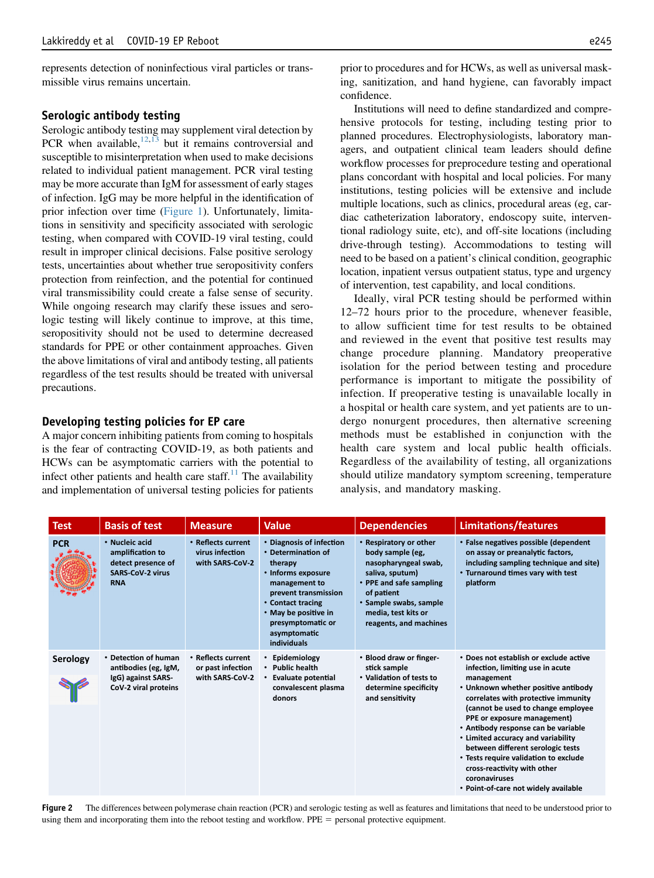represents detection of noninfectious viral particles or transmissible virus remains uncertain.

#### Serologic antibody testing

Serologic antibody testing may supplement viral detection by PCR when available, $12,13$  $12,13$  $12,13$  but it remains controversial and susceptible to misinterpretation when used to make decisions related to individual patient management. PCR viral testing may be more accurate than IgM for assessment of early stages of infection. IgG may be more helpful in the identification of prior infection over time [\(Figure 1\)](#page-2-0). Unfortunately, limitations in sensitivity and specificity associated with serologic testing, when compared with COVID-19 viral testing, could result in improper clinical decisions. False positive serology tests, uncertainties about whether true seropositivity confers protection from reinfection, and the potential for continued viral transmissibility could create a false sense of security. While ongoing research may clarify these issues and serologic testing will likely continue to improve, at this time, seropositivity should not be used to determine decreased standards for PPE or other containment approaches. Given the above limitations of viral and antibody testing, all patients regardless of the test results should be treated with universal precautions.

#### Developing testing policies for EP care

A major concern inhibiting patients from coming to hospitals is the fear of contracting COVID-19, as both patients and HCWs can be asymptomatic carriers with the potential to infect other patients and health care staff. $^{11}$  $^{11}$  $^{11}$  The availability and implementation of universal testing policies for patients prior to procedures and for HCWs, as well as universal masking, sanitization, and hand hygiene, can favorably impact confidence.

Institutions will need to define standardized and comprehensive protocols for testing, including testing prior to planned procedures. Electrophysiologists, laboratory managers, and outpatient clinical team leaders should define workflow processes for preprocedure testing and operational plans concordant with hospital and local policies. For many institutions, testing policies will be extensive and include multiple locations, such as clinics, procedural areas (eg, cardiac catheterization laboratory, endoscopy suite, interventional radiology suite, etc), and off-site locations (including drive-through testing). Accommodations to testing will need to be based on a patient's clinical condition, geographic location, inpatient versus outpatient status, type and urgency of intervention, test capability, and local conditions.

Ideally, viral PCR testing should be performed within 12–72 hours prior to the procedure, whenever feasible, to allow sufficient time for test results to be obtained and reviewed in the event that positive test results may change procedure planning. Mandatory preoperative isolation for the period between testing and procedure performance is important to mitigate the possibility of infection. If preoperative testing is unavailable locally in a hospital or health care system, and yet patients are to undergo nonurgent procedures, then alternative screening methods must be established in conjunction with the health care system and local public health officials. Regardless of the availability of testing, all organizations should utilize mandatory symptom screening, temperature analysis, and mandatory masking.

<span id="page-3-0"></span>

| <b>Test</b> | <b>Basis of test</b>                                                                              | <b>Measure</b>                                             | <b>Value</b>                                                                                                                                                                                                              | <b>Dependencies</b>                                                                                                                                                                                       | Limitations/features                                                                                                                                                                                                                                                                                                                                                                                                                                                                           |
|-------------|---------------------------------------------------------------------------------------------------|------------------------------------------------------------|---------------------------------------------------------------------------------------------------------------------------------------------------------------------------------------------------------------------------|-----------------------------------------------------------------------------------------------------------------------------------------------------------------------------------------------------------|------------------------------------------------------------------------------------------------------------------------------------------------------------------------------------------------------------------------------------------------------------------------------------------------------------------------------------------------------------------------------------------------------------------------------------------------------------------------------------------------|
| <b>PCR</b>  | • Nucleic acid<br>amplification to<br>detect presence of<br><b>SARS-CoV-2 virus</b><br><b>RNA</b> | • Reflects current<br>virus infection<br>with SARS-CoV-2   | • Diagnosis of infection<br>• Determination of<br>therapy<br>• Informs exposure<br>management to<br>prevent transmission<br>• Contact tracing<br>• May be positive in<br>presymptomatic or<br>asymptomatic<br>individuals | • Respiratory or other<br>body sample (eg,<br>nasopharyngeal swab,<br>saliva, sputum)<br>• PPE and safe sampling<br>of patient<br>• Sample swabs, sample<br>media, test kits or<br>reagents, and machines | • False negatives possible (dependent<br>on assay or preanalytic factors,<br>including sampling technique and site)<br>• Turnaround times vary with test<br>platform                                                                                                                                                                                                                                                                                                                           |
| Serology    | • Detection of human<br>antibodies (eg, IgM,<br>IgG) against SARS-<br>CoV-2 viral proteins        | • Reflects current<br>or past infection<br>with SARS-CoV-2 | Epidemiology<br>$\bullet$<br><b>Public health</b><br><b>Evaluate potential</b><br>convalescent plasma<br>donors                                                                                                           | • Blood draw or finger-<br>stick sample<br>• Validation of tests to<br>determine specificity<br>and sensitivity                                                                                           | * Does not establish or exclude active<br>infection, limiting use in acute<br>management<br>• Unknown whether positive antibody<br>correlates with protective immunity<br>(cannot be used to change employee<br>PPE or exposure management)<br>• Antibody response can be variable<br>• Limited accuracy and variability<br>between different serologic tests<br>• Tests require validation to exclude<br>cross-reactivity with other<br>coronaviruses<br>• Point-of-care not widely available |

Figure 2 The differences between polymerase chain reaction (PCR) and serologic testing as well as features and limitations that need to be understood prior to using them and incorporating them into the reboot testing and workflow. PPE = personal protective equipment.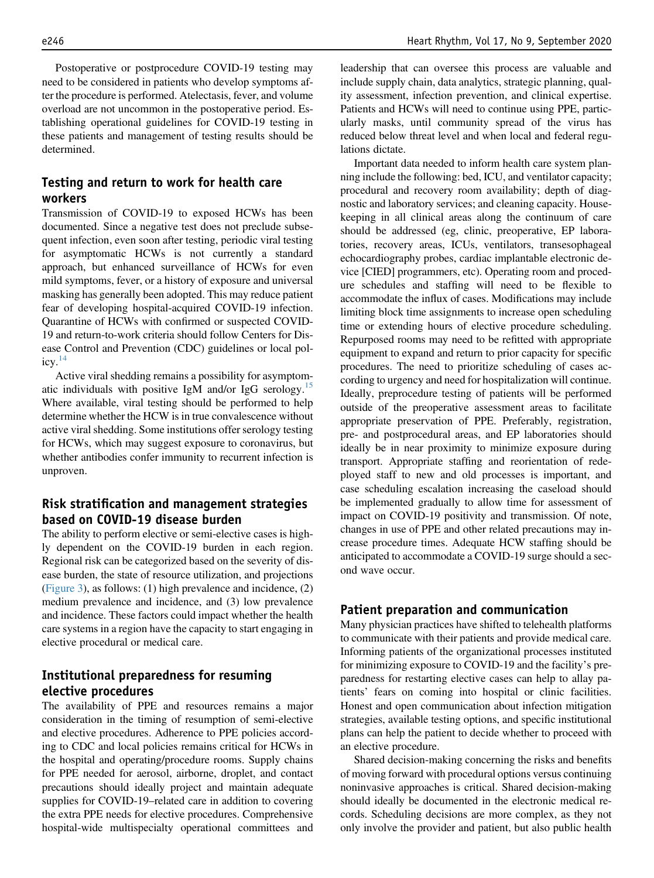Postoperative or postprocedure COVID-19 testing may need to be considered in patients who develop symptoms after the procedure is performed. Atelectasis, fever, and volume overload are not uncommon in the postoperative period. Establishing operational guidelines for COVID-19 testing in these patients and management of testing results should be determined.

# Testing and return to work for health care workers

Transmission of COVID-19 to exposed HCWs has been documented. Since a negative test does not preclude subsequent infection, even soon after testing, periodic viral testing for asymptomatic HCWs is not currently a standard approach, but enhanced surveillance of HCWs for even mild symptoms, fever, or a history of exposure and universal masking has generally been adopted. This may reduce patient fear of developing hospital-acquired COVID-19 infection. Quarantine of HCWs with confirmed or suspected COVID-19 and return-to-work criteria should follow Centers for Disease Control and Prevention (CDC) guidelines or local policy. $^{14}$ 

Active viral shedding remains a possibility for asymptomatic individuals with positive IgM and/or IgG serology.[15](#page-10-7) Where available, viral testing should be performed to help determine whether the HCW is in true convalescence without active viral shedding. Some institutions offer serology testing for HCWs, which may suggest exposure to coronavirus, but whether antibodies confer immunity to recurrent infection is unproven.

# Risk stratification and management strategies based on COVID-19 disease burden

The ability to perform elective or semi-elective cases is highly dependent on the COVID-19 burden in each region. Regional risk can be categorized based on the severity of disease burden, the state of resource utilization, and projections [\(Figure 3](#page-5-0)), as follows: (1) high prevalence and incidence, (2) medium prevalence and incidence, and (3) low prevalence and incidence. These factors could impact whether the health care systems in a region have the capacity to start engaging in elective procedural or medical care.

# Institutional preparedness for resuming elective procedures

The availability of PPE and resources remains a major consideration in the timing of resumption of semi-elective and elective procedures. Adherence to PPE policies according to CDC and local policies remains critical for HCWs in the hospital and operating/procedure rooms. Supply chains for PPE needed for aerosol, airborne, droplet, and contact precautions should ideally project and maintain adequate supplies for COVID-19–related care in addition to covering the extra PPE needs for elective procedures. Comprehensive hospital-wide multispecialty operational committees and

leadership that can oversee this process are valuable and include supply chain, data analytics, strategic planning, quality assessment, infection prevention, and clinical expertise. Patients and HCWs will need to continue using PPE, particularly masks, until community spread of the virus has reduced below threat level and when local and federal regulations dictate.

Important data needed to inform health care system planning include the following: bed, ICU, and ventilator capacity; procedural and recovery room availability; depth of diagnostic and laboratory services; and cleaning capacity. Housekeeping in all clinical areas along the continuum of care should be addressed (eg, clinic, preoperative, EP laboratories, recovery areas, ICUs, ventilators, transesophageal echocardiography probes, cardiac implantable electronic device [CIED] programmers, etc). Operating room and procedure schedules and staffing will need to be flexible to accommodate the influx of cases. Modifications may include limiting block time assignments to increase open scheduling time or extending hours of elective procedure scheduling. Repurposed rooms may need to be refitted with appropriate equipment to expand and return to prior capacity for specific procedures. The need to prioritize scheduling of cases according to urgency and need for hospitalization will continue. Ideally, preprocedure testing of patients will be performed outside of the preoperative assessment areas to facilitate appropriate preservation of PPE. Preferably, registration, pre- and postprocedural areas, and EP laboratories should ideally be in near proximity to minimize exposure during transport. Appropriate staffing and reorientation of redeployed staff to new and old processes is important, and case scheduling escalation increasing the caseload should be implemented gradually to allow time for assessment of impact on COVID-19 positivity and transmission. Of note, changes in use of PPE and other related precautions may increase procedure times. Adequate HCW staffing should be anticipated to accommodate a COVID-19 surge should a second wave occur.

## Patient preparation and communication

Many physician practices have shifted to telehealth platforms to communicate with their patients and provide medical care. Informing patients of the organizational processes instituted for minimizing exposure to COVID-19 and the facility's preparedness for restarting elective cases can help to allay patients' fears on coming into hospital or clinic facilities. Honest and open communication about infection mitigation strategies, available testing options, and specific institutional plans can help the patient to decide whether to proceed with an elective procedure.

Shared decision-making concerning the risks and benefits of moving forward with procedural options versus continuing noninvasive approaches is critical. Shared decision-making should ideally be documented in the electronic medical records. Scheduling decisions are more complex, as they not only involve the provider and patient, but also public health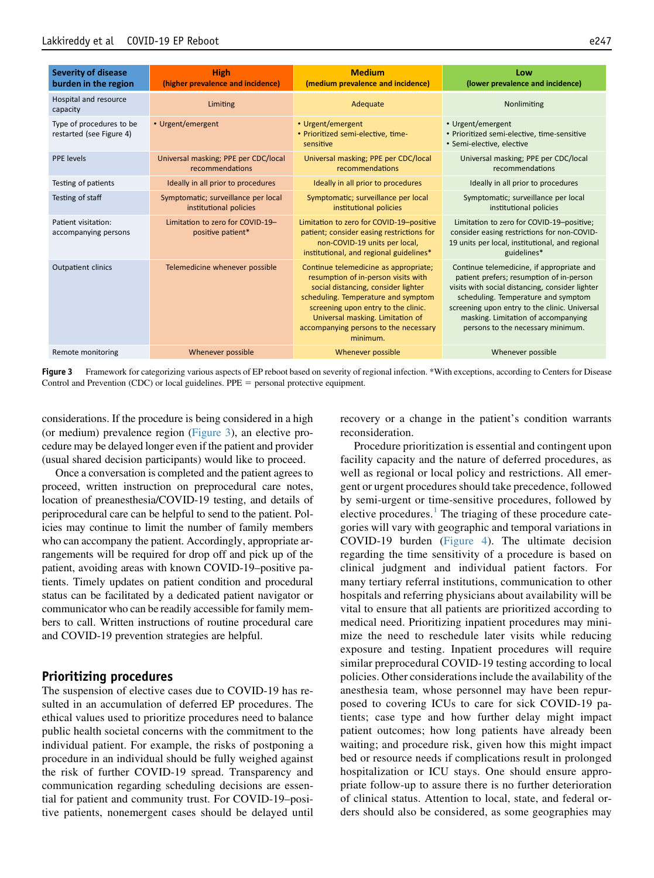<span id="page-5-0"></span>

| <b>Severity of disease</b><br>burden in the region   | <b>High</b><br>(higher prevalence and incidence)              | <b>Medium</b><br>(medium prevalence and incidence)                                                                                                                                                                                                                                         | Low<br>(lower prevalence and incidence)                                                                                                                                                                                                                                                                      |
|------------------------------------------------------|---------------------------------------------------------------|--------------------------------------------------------------------------------------------------------------------------------------------------------------------------------------------------------------------------------------------------------------------------------------------|--------------------------------------------------------------------------------------------------------------------------------------------------------------------------------------------------------------------------------------------------------------------------------------------------------------|
| Hospital and resource<br>capacity                    | Limiting                                                      | Adequate                                                                                                                                                                                                                                                                                   | Nonlimiting                                                                                                                                                                                                                                                                                                  |
| Type of procedures to be<br>restarted (see Figure 4) | • Urgent/emergent                                             | • Urgent/emergent<br>· Prioritized semi-elective, time-<br>sensitive                                                                                                                                                                                                                       | • Urgent/emergent<br>· Prioritized semi-elective, time-sensitive<br>· Semi-elective, elective                                                                                                                                                                                                                |
| PPE levels                                           | Universal masking; PPE per CDC/local<br>recommendations       | Universal masking; PPE per CDC/local<br>recommendations                                                                                                                                                                                                                                    | Universal masking; PPE per CDC/local<br>recommendations                                                                                                                                                                                                                                                      |
| Testing of patients                                  | Ideally in all prior to procedures                            | Ideally in all prior to procedures                                                                                                                                                                                                                                                         | Ideally in all prior to procedures                                                                                                                                                                                                                                                                           |
| Testing of staff                                     | Symptomatic; surveillance per local<br>institutional policies | Symptomatic; surveillance per local<br>institutional policies                                                                                                                                                                                                                              | Symptomatic; surveillance per local<br>institutional policies                                                                                                                                                                                                                                                |
| Patient visitation:<br>accompanying persons          | Limitation to zero for COVID-19-<br>positive patient*         | Limitation to zero for COVID-19-positive<br>patient; consider easing restrictions for<br>non-COVID-19 units per local,<br>institutional, and regional guidelines*                                                                                                                          | Limitation to zero for COVID-19-positive;<br>consider easing restrictions for non-COVID-<br>19 units per local, institutional, and regional<br>guidelines*                                                                                                                                                   |
| Outpatient clinics                                   | Telemedicine whenever possible                                | Continue telemedicine as appropriate;<br>resumption of in-person visits with<br>social distancing, consider lighter<br>scheduling. Temperature and symptom<br>screening upon entry to the clinic.<br>Universal masking. Limitation of<br>accompanying persons to the necessary<br>minimum. | Continue telemedicine, if appropriate and<br>patient prefers; resumption of in-person<br>visits with social distancing, consider lighter<br>scheduling. Temperature and symptom<br>screening upon entry to the clinic. Universal<br>masking. Limitation of accompanying<br>persons to the necessary minimum. |
| Remote monitoring                                    | Whenever possible                                             | Whenever possible                                                                                                                                                                                                                                                                          | Whenever possible                                                                                                                                                                                                                                                                                            |

Figure 3 Framework for categorizing various aspects of EP reboot based on severity of regional infection. \*With exceptions, according to Centers for Disease Control and Prevention (CDC) or local guidelines.  $PPE =$  personal protective equipment.

considerations. If the procedure is being considered in a high (or medium) prevalence region [\(Figure 3](#page-5-0)), an elective procedure may be delayed longer even if the patient and provider (usual shared decision participants) would like to proceed.

Once a conversation is completed and the patient agrees to proceed, written instruction on preprocedural care notes, location of preanesthesia/COVID-19 testing, and details of periprocedural care can be helpful to send to the patient. Policies may continue to limit the number of family members who can accompany the patient. Accordingly, appropriate arrangements will be required for drop off and pick up of the patient, avoiding areas with known COVID-19–positive patients. Timely updates on patient condition and procedural status can be facilitated by a dedicated patient navigator or communicator who can be readily accessible for family members to call. Written instructions of routine procedural care and COVID-19 prevention strategies are helpful.

## Prioritizing procedures

The suspension of elective cases due to COVID-19 has resulted in an accumulation of deferred EP procedures. The ethical values used to prioritize procedures need to balance public health societal concerns with the commitment to the individual patient. For example, the risks of postponing a procedure in an individual should be fully weighed against the risk of further COVID-19 spread. Transparency and communication regarding scheduling decisions are essential for patient and community trust. For COVID-19–positive patients, nonemergent cases should be delayed until recovery or a change in the patient's condition warrants reconsideration.

Procedure prioritization is essential and contingent upon facility capacity and the nature of deferred procedures, as well as regional or local policy and restrictions. All emergent or urgent procedures should take precedence, followed by semi-urgent or time-sensitive procedures, followed by elective procedures. $<sup>1</sup>$  $<sup>1</sup>$  $<sup>1</sup>$  The triaging of these procedure cate-</sup> gories will vary with geographic and temporal variations in COVID-19 burden ([Figure 4\)](#page-6-0). The ultimate decision regarding the time sensitivity of a procedure is based on clinical judgment and individual patient factors. For many tertiary referral institutions, communication to other hospitals and referring physicians about availability will be vital to ensure that all patients are prioritized according to medical need. Prioritizing inpatient procedures may minimize the need to reschedule later visits while reducing exposure and testing. Inpatient procedures will require similar preprocedural COVID-19 testing according to local policies. Other considerations include the availability of the anesthesia team, whose personnel may have been repurposed to covering ICUs to care for sick COVID-19 patients; case type and how further delay might impact patient outcomes; how long patients have already been waiting; and procedure risk, given how this might impact bed or resource needs if complications result in prolonged hospitalization or ICU stays. One should ensure appropriate follow-up to assure there is no further deterioration of clinical status. Attention to local, state, and federal orders should also be considered, as some geographies may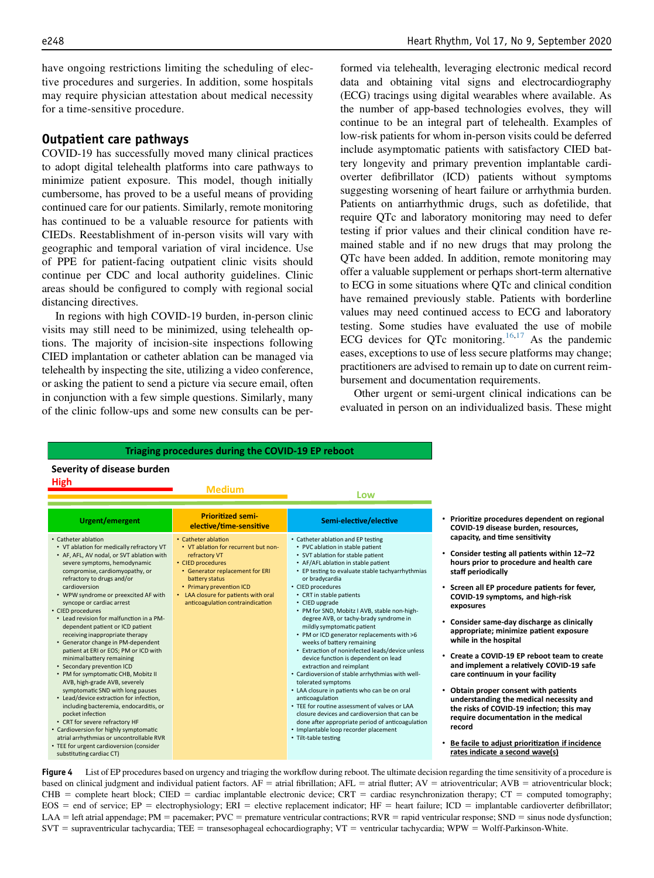have ongoing restrictions limiting the scheduling of elective procedures and surgeries. In addition, some hospitals may require physician attestation about medical necessity for a time-sensitive procedure.

#### Outpatient care pathways

COVID-19 has successfully moved many clinical practices to adopt digital telehealth platforms into care pathways to minimize patient exposure. This model, though initially cumbersome, has proved to be a useful means of providing continued care for our patients. Similarly, remote monitoring has continued to be a valuable resource for patients with CIEDs. Reestablishment of in-person visits will vary with geographic and temporal variation of viral incidence. Use of PPE for patient-facing outpatient clinic visits should continue per CDC and local authority guidelines. Clinic areas should be configured to comply with regional social distancing directives.

In regions with high COVID-19 burden, in-person clinic visits may still need to be minimized, using telehealth options. The majority of incision-site inspections following CIED implantation or catheter ablation can be managed via telehealth by inspecting the site, utilizing a video conference, or asking the patient to send a picture via secure email, often in conjunction with a few simple questions. Similarly, many of the clinic follow-ups and some new consults can be performed via telehealth, leveraging electronic medical record data and obtaining vital signs and electrocardiography (ECG) tracings using digital wearables where available. As the number of app-based technologies evolves, they will continue to be an integral part of telehealth. Examples of low-risk patients for whom in-person visits could be deferred include asymptomatic patients with satisfactory CIED battery longevity and primary prevention implantable cardioverter defibrillator (ICD) patients without symptoms suggesting worsening of heart failure or arrhythmia burden. Patients on antiarrhythmic drugs, such as dofetilide, that require QTc and laboratory monitoring may need to defer testing if prior values and their clinical condition have remained stable and if no new drugs that may prolong the QTc have been added. In addition, remote monitoring may offer a valuable supplement or perhaps short-term alternative to ECG in some situations where QTc and clinical condition have remained previously stable. Patients with borderline values may need continued access to ECG and laboratory testing. Some studies have evaluated the use of mobile ECG devices for QTc monitoring.<sup>[16,](#page-10-8)[17](#page-10-9)</sup> As the pandemic eases, exceptions to use of less secure platforms may change; practitioners are advised to remain up to date on current reimbursement and documentation requirements.

Other urgent or semi-urgent clinical indications can be evaluated in person on an individualized basis. These might

<span id="page-6-0"></span>

| Triaging procedures during the COVID-19 EP reboot                                                                                                                                                                     |                                                                                                                                 |                                                                                                                                                                                                                                                                |                                                                                                                                                                                 |
|-----------------------------------------------------------------------------------------------------------------------------------------------------------------------------------------------------------------------|---------------------------------------------------------------------------------------------------------------------------------|----------------------------------------------------------------------------------------------------------------------------------------------------------------------------------------------------------------------------------------------------------------|---------------------------------------------------------------------------------------------------------------------------------------------------------------------------------|
| Severity of disease burden<br>High                                                                                                                                                                                    | <b>Medium</b>                                                                                                                   |                                                                                                                                                                                                                                                                |                                                                                                                                                                                 |
|                                                                                                                                                                                                                       |                                                                                                                                 | Low                                                                                                                                                                                                                                                            |                                                                                                                                                                                 |
| Urgent/emergent                                                                                                                                                                                                       | <b>Prioritized semi-</b><br>elective/time-sensitive                                                                             | Semi-elective/elective                                                                                                                                                                                                                                         | • Prioritize procedures dependent on regional<br>COVID-19 disease burden, resources,                                                                                            |
| • Catheter ablation                                                                                                                                                                                                   | • Catheter ablation                                                                                                             | • Catheter ablation and EP testing                                                                                                                                                                                                                             | capacity, and time sensitivity                                                                                                                                                  |
| • VT ablation for medically refractory VT<br>• AF, AFL, AV nodal, or SVT ablation with<br>severe symptoms, hemodynamic<br>compromise, cardiomyopathy, or<br>refractory to drugs and/or                                | • VT ablation for recurrent but non-<br>refractory VT<br>• CIED procedures<br>• Generator replacement for ERI<br>battery status | • PVC ablation in stable patient<br>• SVT ablation for stable patient<br>• AF/AFL ablation in stable patient<br>• EP testing to evaluate stable tachyarrhythmias<br>or bradycardia                                                                             | • Consider testing all patients within 12-72<br>hours prior to procedure and health care<br>staff periodically                                                                  |
| cardioversion<br>• WPW syndrome or preexcited AF with<br>syncope or cardiac arrest<br>• CIED procedures                                                                                                               | • Primary prevention ICD<br>• LAA closure for patients with oral<br>anticoagulation contraindication                            | • CIED procedures<br>• CRT in stable patients<br>• CIED upgrade<br>• PM for SND, Mobitz I AVB, stable non-high-                                                                                                                                                | • Screen all EP procedure patients for fever,<br>COVID-19 symptoms, and high-risk<br>exposures                                                                                  |
| • Lead revision for malfunction in a PM-<br>dependent patient or ICD patient<br>receiving inappropriate therapy<br>• Generator change in PM-dependent                                                                 |                                                                                                                                 | degree AVB, or tachy-brady syndrome in<br>mildly symptomatic patient<br>• PM or ICD generator replacements with >6<br>weeks of battery remaining                                                                                                               | • Consider same-day discharge as clinically<br>appropriate; minimize patient exposure<br>while in the hospital                                                                  |
| patient at ERI or EOS; PM or ICD with<br>minimal battery remaining<br>• Secondary prevention ICD<br>• PM for symptomatic CHB, Mobitz II<br>AVB, high-grade AVB, severely                                              |                                                                                                                                 | • Extraction of noninfected leads/device unless<br>device function is dependent on lead<br>extraction and reimplant<br>• Cardioversion of stable arrhythmias with well-<br>tolerated symptoms                                                                  | • Create a COVID-19 EP reboot team to create<br>and implement a relatively COVID-19 safe<br>care continuum in your facility                                                     |
| symptomatic SND with long pauses<br>• Lead/device extraction for infection,<br>including bacteremia, endocarditis, or<br>pocket infection<br>• CRT for severe refractory HF<br>• Cardioversion for highly symptomatic |                                                                                                                                 | • LAA closure in patients who can be on oral<br>anticoagulation<br>• TEE for routine assessment of valves or LAA<br>closure devices and cardioversion that can be<br>done after appropriate period of anticoagulation<br>• Implantable loop recorder placement | • Obtain proper consent with patients<br>understanding the medical necessity and<br>the risks of COVID-19 infection; this may<br>require documentation in the medical<br>record |
| atrial arrhythmias or uncontrollable RVR<br>• TEE for urgent cardioversion (consider<br>substituting cardiac CT)                                                                                                      |                                                                                                                                 | • Tilt-table testing                                                                                                                                                                                                                                           | Be facile to adjust prioritization if incidence<br>rates indicate a second wave(s)                                                                                              |

Figure 4 List of EP procedures based on urgency and triaging the workflow during reboot. The ultimate decision regarding the time sensitivity of a procedure is based on clinical judgment and individual patient factors.  $AF =$  atrial fibrillation;  $AFL =$  atrial flutter;  $AV =$  atrioventricular;  $AVB =$  atrioventricular block;  $CHB =$  complete heart block; CIED = cardiac implantable electronic device; CRT = cardiac resynchronization therapy; CT = computed tomography;  $EOS =$  end of service;  $EP =$  electrophysiology;  $ERI =$  elective replacement indicator;  $HF =$  heart failure; ICD = implantable cardioverter defibrillator; LAA = left atrial appendage; PM = pacemaker; PVC = premature ventricular contractions; RVR = rapid ventricular response; SND = sinus node dysfunction;  $SVT =$  supraventricular tachycardia; TEE = transesophageal echocardiography;  $VT =$  ventricular tachycardia; WPW = Wolff-Parkinson-White.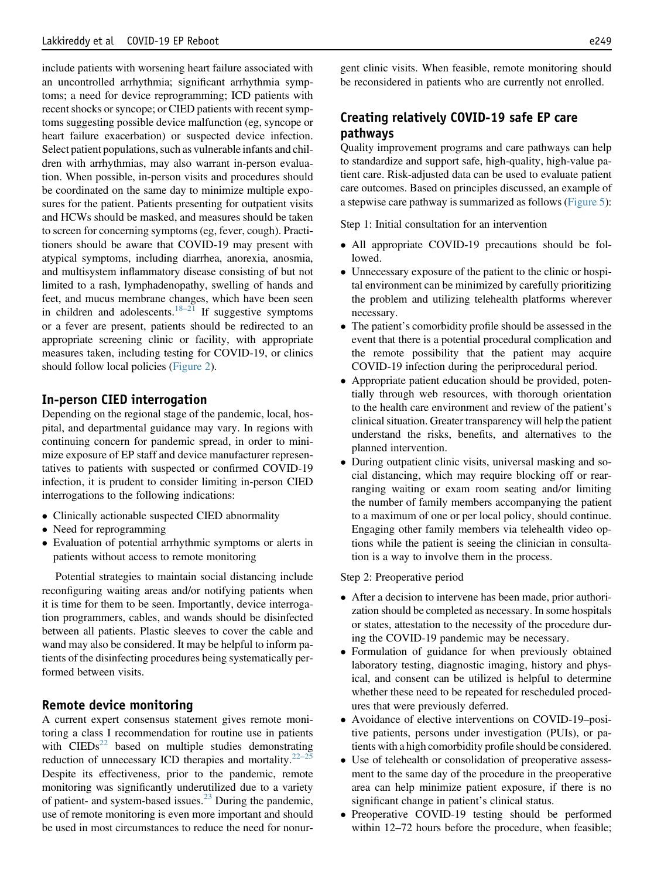include patients with worsening heart failure associated with an uncontrolled arrhythmia; significant arrhythmia symptoms; a need for device reprogramming; ICD patients with recent shocks or syncope; or CIED patients with recent symptoms suggesting possible device malfunction (eg, syncope or heart failure exacerbation) or suspected device infection. Select patient populations, such as vulnerable infants and children with arrhythmias, may also warrant in-person evaluation. When possible, in-person visits and procedures should be coordinated on the same day to minimize multiple exposures for the patient. Patients presenting for outpatient visits and HCWs should be masked, and measures should be taken to screen for concerning symptoms (eg, fever, cough). Practitioners should be aware that COVID-19 may present with atypical symptoms, including diarrhea, anorexia, anosmia, and multisystem inflammatory disease consisting of but not limited to a rash, lymphadenopathy, swelling of hands and feet, and mucus membrane changes, which have been seen in children and adolescents.<sup>18–[21](#page-10-10)</sup> If suggestive symptoms or a fever are present, patients should be redirected to an appropriate screening clinic or facility, with appropriate measures taken, including testing for COVID-19, or clinics should follow local policies [\(Figure 2](#page-3-0)).

#### In-person CIED interrogation

Depending on the regional stage of the pandemic, local, hospital, and departmental guidance may vary. In regions with continuing concern for pandemic spread, in order to minimize exposure of EP staff and device manufacturer representatives to patients with suspected or confirmed COVID-19 infection, it is prudent to consider limiting in-person CIED interrogations to the following indications:

- Clinically actionable suspected CIED abnormality
- Need for reprogramming
- Evaluation of potential arrhythmic symptoms or alerts in patients without access to remote monitoring

Potential strategies to maintain social distancing include reconfiguring waiting areas and/or notifying patients when it is time for them to be seen. Importantly, device interrogation programmers, cables, and wands should be disinfected between all patients. Plastic sleeves to cover the cable and wand may also be considered. It may be helpful to inform patients of the disinfecting procedures being systematically performed between visits.

## Remote device monitoring

A current expert consensus statement gives remote monitoring a class I recommendation for routine use in patients with  $\text{CIEDs}^{22}$  $\text{CIEDs}^{22}$  $\text{CIEDs}^{22}$  based on multiple studies demonstrating reduction of unnecessary ICD therapies and mortality. $22-25$  $22-25$ Despite its effectiveness, prior to the pandemic, remote monitoring was significantly underutilized due to a variety of patient- and system-based issues.<sup>[23](#page-10-12)</sup> During the pandemic, use of remote monitoring is even more important and should be used in most circumstances to reduce the need for nonurgent clinic visits. When feasible, remote monitoring should be reconsidered in patients who are currently not enrolled.

# Creating relatively COVID-19 safe EP care pathways

Quality improvement programs and care pathways can help to standardize and support safe, high-quality, high-value patient care. Risk-adjusted data can be used to evaluate patient care outcomes. Based on principles discussed, an example of a stepwise care pathway is summarized as follows [\(Figure 5](#page-8-0)):

Step 1: Initial consultation for an intervention

- All appropriate COVID-19 precautions should be followed.
- Unnecessary exposure of the patient to the clinic or hospital environment can be minimized by carefully prioritizing the problem and utilizing telehealth platforms wherever necessary.
- The patient's comorbidity profile should be assessed in the event that there is a potential procedural complication and the remote possibility that the patient may acquire COVID-19 infection during the periprocedural period.
- Appropriate patient education should be provided, potentially through web resources, with thorough orientation to the health care environment and review of the patient's clinical situation. Greater transparency will help the patient understand the risks, benefits, and alternatives to the planned intervention.
- During outpatient clinic visits, universal masking and social distancing, which may require blocking off or rearranging waiting or exam room seating and/or limiting the number of family members accompanying the patient to a maximum of one or per local policy, should continue. Engaging other family members via telehealth video options while the patient is seeing the clinician in consultation is a way to involve them in the process.

Step 2: Preoperative period

- After a decision to intervene has been made, prior authorization should be completed as necessary. In some hospitals or states, attestation to the necessity of the procedure during the COVID-19 pandemic may be necessary.
- Formulation of guidance for when previously obtained laboratory testing, diagnostic imaging, history and physical, and consent can be utilized is helpful to determine whether these need to be repeated for rescheduled procedures that were previously deferred.
- Avoidance of elective interventions on COVID-19–positive patients, persons under investigation (PUIs), or patients with a high comorbidity profile should be considered.
- Use of telehealth or consolidation of preoperative assessment to the same day of the procedure in the preoperative area can help minimize patient exposure, if there is no significant change in patient's clinical status.
- Preoperative COVID-19 testing should be performed within 12–72 hours before the procedure, when feasible;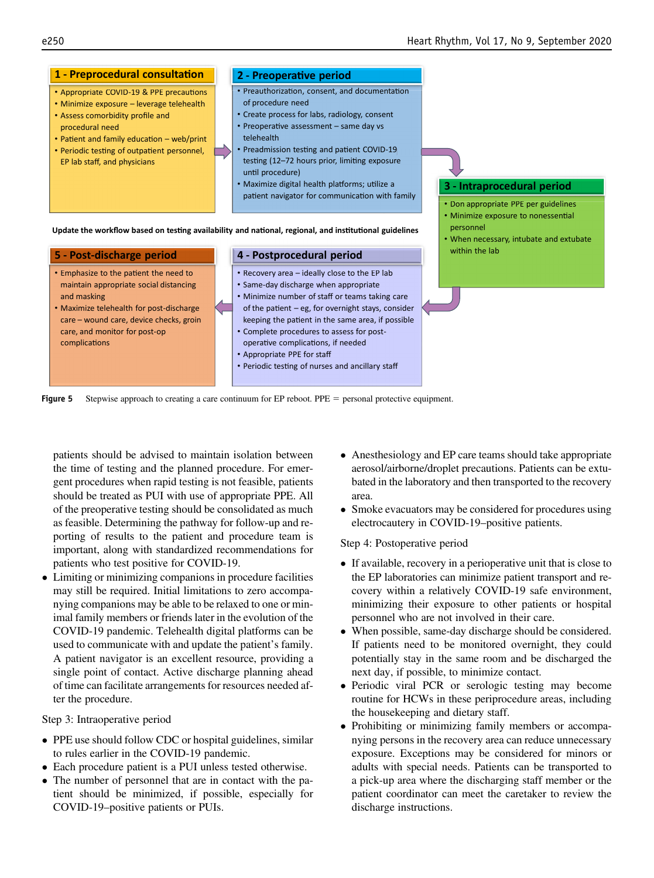<span id="page-8-0"></span>

Figure 5 Stepwise approach to creating a care continuum for EP reboot. PPE  $=$  personal protective equipment.

patients should be advised to maintain isolation between the time of testing and the planned procedure. For emergent procedures when rapid testing is not feasible, patients should be treated as PUI with use of appropriate PPE. All of the preoperative testing should be consolidated as much as feasible. Determining the pathway for follow-up and reporting of results to the patient and procedure team is important, along with standardized recommendations for patients who test positive for COVID-19.

 Limiting or minimizing companions in procedure facilities may still be required. Initial limitations to zero accompanying companions may be able to be relaxed to one or minimal family members or friends later in the evolution of the COVID-19 pandemic. Telehealth digital platforms can be used to communicate with and update the patient's family. A patient navigator is an excellent resource, providing a single point of contact. Active discharge planning ahead of time can facilitate arrangements for resources needed after the procedure.

Step 3: Intraoperative period

- PPE use should follow CDC or hospital guidelines, similar to rules earlier in the COVID-19 pandemic.
- Each procedure patient is a PUI unless tested otherwise.
- The number of personnel that are in contact with the patient should be minimized, if possible, especially for COVID-19–positive patients or PUIs.
- Anesthesiology and EP care teams should take appropriate aerosol/airborne/droplet precautions. Patients can be extubated in the laboratory and then transported to the recovery area.
- Smoke evacuators may be considered for procedures using electrocautery in COVID-19–positive patients.

#### Step 4: Postoperative period

- If available, recovery in a perioperative unit that is close to the EP laboratories can minimize patient transport and recovery within a relatively COVID-19 safe environment, minimizing their exposure to other patients or hospital personnel who are not involved in their care.
- When possible, same-day discharge should be considered. If patients need to be monitored overnight, they could potentially stay in the same room and be discharged the next day, if possible, to minimize contact.
- Periodic viral PCR or serologic testing may become routine for HCWs in these periprocedure areas, including the housekeeping and dietary staff.
- Prohibiting or minimizing family members or accompanying persons in the recovery area can reduce unnecessary exposure. Exceptions may be considered for minors or adults with special needs. Patients can be transported to a pick-up area where the discharging staff member or the patient coordinator can meet the caretaker to review the discharge instructions.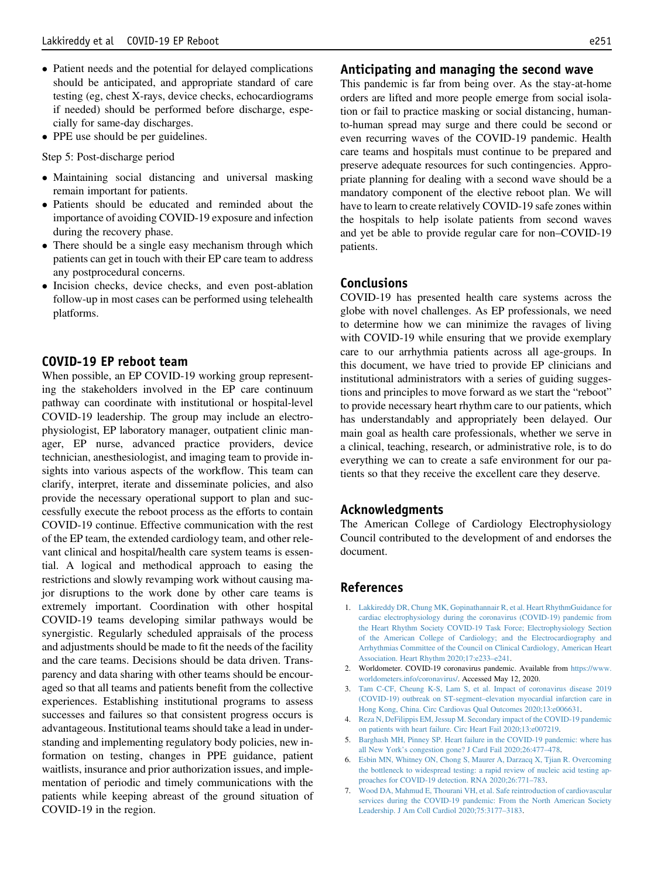- Patient needs and the potential for delayed complications should be anticipated, and appropriate standard of care testing (eg, chest X-rays, device checks, echocardiograms if needed) should be performed before discharge, especially for same-day discharges.
- PPE use should be per guidelines.

Step 5: Post-discharge period

- Maintaining social distancing and universal masking remain important for patients.
- Patients should be educated and reminded about the importance of avoiding COVID-19 exposure and infection during the recovery phase.
- There should be a single easy mechanism through which patients can get in touch with their EP care team to address any postprocedural concerns.
- Incision checks, device checks, and even post-ablation follow-up in most cases can be performed using telehealth platforms.

## COVID-19 EP reboot team

When possible, an EP COVID-19 working group representing the stakeholders involved in the EP care continuum pathway can coordinate with institutional or hospital-level COVID-19 leadership. The group may include an electrophysiologist, EP laboratory manager, outpatient clinic manager, EP nurse, advanced practice providers, device technician, anesthesiologist, and imaging team to provide insights into various aspects of the workflow. This team can clarify, interpret, iterate and disseminate policies, and also provide the necessary operational support to plan and successfully execute the reboot process as the efforts to contain COVID-19 continue. Effective communication with the rest of the EP team, the extended cardiology team, and other relevant clinical and hospital/health care system teams is essential. A logical and methodical approach to easing the restrictions and slowly revamping work without causing major disruptions to the work done by other care teams is extremely important. Coordination with other hospital COVID-19 teams developing similar pathways would be synergistic. Regularly scheduled appraisals of the process and adjustments should be made to fit the needs of the facility and the care teams. Decisions should be data driven. Transparency and data sharing with other teams should be encouraged so that all teams and patients benefit from the collective experiences. Establishing institutional programs to assess successes and failures so that consistent progress occurs is advantageous. Institutional teams should take a lead in understanding and implementing regulatory body policies, new information on testing, changes in PPE guidance, patient waitlists, insurance and prior authorization issues, and implementation of periodic and timely communications with the patients while keeping abreast of the ground situation of COVID-19 in the region.

## Anticipating and managing the second wave

This pandemic is far from being over. As the stay-at-home orders are lifted and more people emerge from social isolation or fail to practice masking or social distancing, humanto-human spread may surge and there could be second or even recurring waves of the COVID-19 pandemic. Health care teams and hospitals must continue to be prepared and preserve adequate resources for such contingencies. Appropriate planning for dealing with a second wave should be a mandatory component of the elective reboot plan. We will have to learn to create relatively COVID-19 safe zones within the hospitals to help isolate patients from second waves and yet be able to provide regular care for non–COVID-19 patients.

### Conclusions

COVID-19 has presented health care systems across the globe with novel challenges. As EP professionals, we need to determine how we can minimize the ravages of living with COVID-19 while ensuring that we provide exemplary care to our arrhythmia patients across all age-groups. In this document, we have tried to provide EP clinicians and institutional administrators with a series of guiding suggestions and principles to move forward as we start the "reboot" to provide necessary heart rhythm care to our patients, which has understandably and appropriately been delayed. Our main goal as health care professionals, whether we serve in a clinical, teaching, research, or administrative role, is to do everything we can to create a safe environment for our patients so that they receive the excellent care they deserve.

#### Acknowledgments

The American College of Cardiology Electrophysiology Council contributed to the development of and endorses the document.

#### <span id="page-9-0"></span>References

- 1. [Lakkireddy DR, Chung MK, Gopinathannair R, et al. Heart RhythmGuidance for](http://refhub.elsevier.com/S1547-5271(20)30554-3/sref1) [cardiac electrophysiology during the coronavirus \(COVID-19\) pandemic from](http://refhub.elsevier.com/S1547-5271(20)30554-3/sref1) [the Heart Rhythm Society COVID-19 Task Force; Electrophysiology Section](http://refhub.elsevier.com/S1547-5271(20)30554-3/sref1) [of the American College of Cardiology; and the Electrocardiography and](http://refhub.elsevier.com/S1547-5271(20)30554-3/sref1) [Arrhythmias Committee of the Council on Clinical Cardiology, American Heart](http://refhub.elsevier.com/S1547-5271(20)30554-3/sref1) [Association. Heart Rhythm 2020;17:e233](http://refhub.elsevier.com/S1547-5271(20)30554-3/sref1)–e241.
- <span id="page-9-2"></span><span id="page-9-1"></span>2. Worldometer. COVID-19 coronavirus pandemic. Available from [https://www.](https://www.worldometers.info/coronavirus/) [worldometers.info/coronavirus/](https://www.worldometers.info/coronavirus/). Accessed May 12, 2020.
- <span id="page-9-4"></span>3. [Tam C-CF, Cheung K-S, Lam S, et al. Impact of coronavirus disease 2019](http://refhub.elsevier.com/S1547-5271(20)30554-3/sref3) (COVID-19) outbreak on ST-segment–[elevation myocardial infarction care in](http://refhub.elsevier.com/S1547-5271(20)30554-3/sref3) [Hong Kong, China. Circ Cardiovas Qual Outcomes 2020;13:e006631](http://refhub.elsevier.com/S1547-5271(20)30554-3/sref3).
- 4. [Reza N, DeFilippis EM, Jessup M. Secondary impact of the COVID-19 pandemic](http://refhub.elsevier.com/S1547-5271(20)30554-3/sref4) [on patients with heart failure. Circ Heart Fail 2020;13:e007219](http://refhub.elsevier.com/S1547-5271(20)30554-3/sref4).
- <span id="page-9-3"></span>5. [Barghash MH, Pinney SP. Heart failure in the COVID-19 pandemic: where has](http://refhub.elsevier.com/S1547-5271(20)30554-3/sref5) all New York'[s congestion gone? J Card Fail 2020;26:477](http://refhub.elsevier.com/S1547-5271(20)30554-3/sref5)–478.
- <span id="page-9-5"></span>6. [Esbin MN, Whitney ON, Chong S, Maurer A, Darzacq X, Tjian R. Overcoming](http://refhub.elsevier.com/S1547-5271(20)30554-3/sref6) [the bottleneck to widespread testing: a rapid review of nucleic acid testing ap](http://refhub.elsevier.com/S1547-5271(20)30554-3/sref6)[proaches for COVID-19 detection. RNA 2020;26:771](http://refhub.elsevier.com/S1547-5271(20)30554-3/sref6)–783.
- 7. [Wood DA, Mahmud E, Thourani VH, et al. Safe reintroduction of cardiovascular](http://refhub.elsevier.com/S1547-5271(20)30554-3/sref7) [services during the COVID-19 pandemic: From the North American Society](http://refhub.elsevier.com/S1547-5271(20)30554-3/sref7) [Leadership. J Am Coll Cardiol 2020;75:3177](http://refhub.elsevier.com/S1547-5271(20)30554-3/sref7)–3183.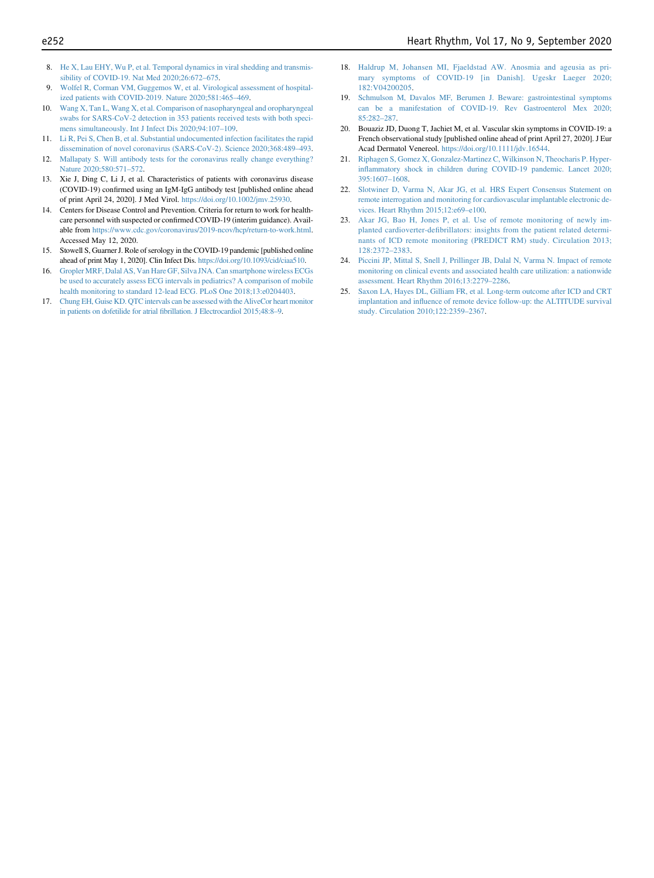- <span id="page-10-0"></span>8. [He X, Lau EHY, Wu P, et al. Temporal dynamics in viral shedding and transmis](http://refhub.elsevier.com/S1547-5271(20)30554-3/sref8)[sibility of COVID-19. Nat Med 2020;26:672](http://refhub.elsevier.com/S1547-5271(20)30554-3/sref8)–675.
- <span id="page-10-1"></span>[Wolfel R, Corman VM, Guggemos W, et al. Virological assessment of hospital](http://refhub.elsevier.com/S1547-5271(20)30554-3/sref9)[ized patients with COVID-2019. Nature 2020;581:465](http://refhub.elsevier.com/S1547-5271(20)30554-3/sref9)–469.
- <span id="page-10-2"></span>10. [Wang X, Tan L, Wang X, et al. Comparison of nasopharyngeal and oropharyngeal](http://refhub.elsevier.com/S1547-5271(20)30554-3/sref10) [swabs for SARS-CoV-2 detection in 353 patients received tests with both speci](http://refhub.elsevier.com/S1547-5271(20)30554-3/sref10)[mens simultaneously. Int J Infect Dis 2020;94:107](http://refhub.elsevier.com/S1547-5271(20)30554-3/sref10)–109.
- <span id="page-10-3"></span>11. [Li R, Pei S, Chen B, et al. Substantial undocumented infection facilitates the rapid](http://refhub.elsevier.com/S1547-5271(20)30554-3/sref11) [dissemination of novel coronavirus \(SARS-CoV-2\). Science 2020;368:489](http://refhub.elsevier.com/S1547-5271(20)30554-3/sref11)–493.
- <span id="page-10-4"></span>12. [Mallapaty S. Will antibody tests for the coronavirus really change everything?](http://refhub.elsevier.com/S1547-5271(20)30554-3/sref12) [Nature 2020;580:571](http://refhub.elsevier.com/S1547-5271(20)30554-3/sref12)–572.
- <span id="page-10-5"></span>13. Xie J, Ding C, Li J, et al. Characteristics of patients with coronavirus disease (COVID-19) confirmed using an IgM-IgG antibody test [published online ahead of print April 24, 2020]. J Med Virol. <https://doi.org/10.1002/jmv.25930>.
- <span id="page-10-6"></span>14. Centers for Disease Control and Prevention. Criteria for return to work for healthcare personnel with suspected or confirmed COVID-19 (interim guidance). Available from <https://www.cdc.gov/coronavirus/2019-ncov/hcp/return-to-work.html>. Accessed May 12, 2020.
- <span id="page-10-7"></span>15. Stowell S, Guarner J. Role of serology in the COVID-19 pandemic [published online ahead of print May 1, 2020]. Clin Infect Dis. <https://doi.org/10.1093/cid/ciaa510>.
- <span id="page-10-8"></span>16. [Gropler MRF, Dalal AS, Van Hare GF, Silva JNA. Can smartphone wireless ECGs](http://refhub.elsevier.com/S1547-5271(20)30554-3/sref16) [be used to accurately assess ECG intervals in pediatrics? A comparison of mobile](http://refhub.elsevier.com/S1547-5271(20)30554-3/sref16) [health monitoring to standard 12-lead ECG. PLoS One 2018;13:e0204403.](http://refhub.elsevier.com/S1547-5271(20)30554-3/sref16)
- <span id="page-10-9"></span>17. [Chung EH, Guise KD. QTC intervals can be assessed with the AliveCor heart monitor](http://refhub.elsevier.com/S1547-5271(20)30554-3/sref17) in patients on dofetilide for atrial fi[brillation. J Electrocardiol 2015;48:8](http://refhub.elsevier.com/S1547-5271(20)30554-3/sref17)–9.
- <span id="page-10-10"></span>18. [Haldrup M, Johansen MI, Fjaeldstad AW. Anosmia and ageusia as pri](http://refhub.elsevier.com/S1547-5271(20)30554-3/sref18)[mary symptoms of COVID-19 \[in Danish\]. Ugeskr Laeger 2020;](http://refhub.elsevier.com/S1547-5271(20)30554-3/sref18) [182:V04200205.](http://refhub.elsevier.com/S1547-5271(20)30554-3/sref18)
- 19. [Schmulson M, Davalos MF, Berumen J. Beware: gastrointestinal symptoms](http://refhub.elsevier.com/S1547-5271(20)30554-3/sref19) [can be a manifestation of COVID-19. Rev Gastroenterol Mex 2020;](http://refhub.elsevier.com/S1547-5271(20)30554-3/sref19) [85:282](http://refhub.elsevier.com/S1547-5271(20)30554-3/sref19)–287.
- 20. Bouaziz JD, Duong T, Jachiet M, et al. Vascular skin symptoms in COVID-19: a French observational study [published online ahead of print April 27, 2020]. J Eur Acad Dermatol Venereol. [https://doi.org/10.1111/jdv.16544.](https://doi.org/10.1111/jdv.16544)
- 21. [Riphagen S, Gomez X, Gonzalez-Martinez C, Wilkinson N, Theocharis P. Hyper](http://refhub.elsevier.com/S1547-5271(20)30554-3/sref21)infl[ammatory shock in children during COVID-19 pandemic. Lancet 2020;](http://refhub.elsevier.com/S1547-5271(20)30554-3/sref21) [395:1607](http://refhub.elsevier.com/S1547-5271(20)30554-3/sref21)–1608.
- <span id="page-10-11"></span>22. [Slotwiner D, Varma N, Akar JG, et al. HRS Expert Consensus Statement on](http://refhub.elsevier.com/S1547-5271(20)30554-3/sref22) [remote interrogation and monitoring for cardiovascular implantable electronic de](http://refhub.elsevier.com/S1547-5271(20)30554-3/sref22)[vices. Heart Rhythm 2015;12:e69](http://refhub.elsevier.com/S1547-5271(20)30554-3/sref22)–e100.
- <span id="page-10-12"></span>23. [Akar JG, Bao H, Jones P, et al. Use of remote monitoring of newly im](http://refhub.elsevier.com/S1547-5271(20)30554-3/sref23)planted cardioverter-defi[brillators: insights from the patient related determi](http://refhub.elsevier.com/S1547-5271(20)30554-3/sref23)[nants of ICD remote monitoring \(PREDICT RM\) study. Circulation 2013;](http://refhub.elsevier.com/S1547-5271(20)30554-3/sref23) [128:2372](http://refhub.elsevier.com/S1547-5271(20)30554-3/sref23)–2383.
- 24. [Piccini JP, Mittal S, Snell J, Prillinger JB, Dalal N, Varma N. Impact of remote](http://refhub.elsevier.com/S1547-5271(20)30554-3/sref24) [monitoring on clinical events and associated health care utilization: a nationwide](http://refhub.elsevier.com/S1547-5271(20)30554-3/sref24) [assessment. Heart Rhythm 2016;13:2279](http://refhub.elsevier.com/S1547-5271(20)30554-3/sref24)–2286.
- 25. [Saxon LA, Hayes DL, Gilliam FR, et al. Long-term outcome after ICD and CRT](http://refhub.elsevier.com/S1547-5271(20)30554-3/sref25) implantation and infl[uence of remote device follow-up: the ALTITUDE survival](http://refhub.elsevier.com/S1547-5271(20)30554-3/sref25) [study. Circulation 2010;122:2359](http://refhub.elsevier.com/S1547-5271(20)30554-3/sref25)–2367.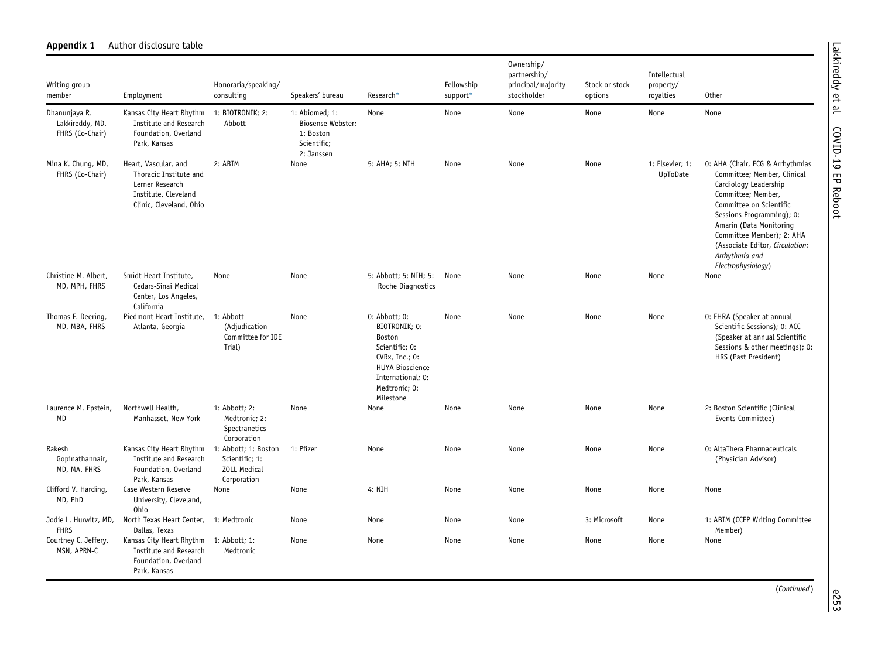| Writing group<br>member                             | Employment                                                                                                           | Honoraria/speaking/<br>consulting                                            | Speakers' bureau                                                              | Research*                                                                                                                                                     | Fellowship<br>support* | Ownership/<br>partnership/<br>principal/majority<br>stockholder | Stock or stock<br>options | Intellectual<br>property/<br>royalties | Other                                                                                                                                                                                                                                                                                                     |
|-----------------------------------------------------|----------------------------------------------------------------------------------------------------------------------|------------------------------------------------------------------------------|-------------------------------------------------------------------------------|---------------------------------------------------------------------------------------------------------------------------------------------------------------|------------------------|-----------------------------------------------------------------|---------------------------|----------------------------------------|-----------------------------------------------------------------------------------------------------------------------------------------------------------------------------------------------------------------------------------------------------------------------------------------------------------|
| Dhanunjaya R.<br>Lakkireddy, MD,<br>FHRS (Co-Chair) | Kansas City Heart Rhythm<br><b>Institute and Research</b><br>Foundation, Overland<br>Park, Kansas                    | 1: BIOTRONIK; 2:<br>Abbott                                                   | 1: Abiomed; 1:<br>Biosense Webster;<br>1: Boston<br>Scientific;<br>2: Janssen | None                                                                                                                                                          | None                   | None                                                            | None                      | None                                   | None                                                                                                                                                                                                                                                                                                      |
| Mina K. Chung, MD,<br>FHRS (Co-Chair)               | Heart, Vascular, and<br>Thoracic Institute and<br>Lerner Research<br>Institute, Cleveland<br>Clinic, Cleveland, Ohio | 2: ABIM                                                                      | None                                                                          | 5: AHA; 5: NIH                                                                                                                                                | None                   | None                                                            | None                      | 1: Elsevier; 1:<br>UpToDate            | 0: AHA (Chair, ECG & Arrhythmias<br>Committee; Member, Clinical<br>Cardiology Leadership<br>Committee; Member,<br>Committee on Scientific<br>Sessions Programming); 0:<br>Amarin (Data Monitoring<br>Committee Member); 2: AHA<br>(Associate Editor, Circulation:<br>Arrhythmia and<br>Electrophysiology) |
| Christine M. Albert,<br>MD, MPH, FHRS               | Smidt Heart Institute,<br>Cedars-Sinai Medical<br>Center, Los Angeles,<br>California                                 | None                                                                         | None                                                                          | 5: Abbott; 5: NIH; 5:<br>Roche Diagnostics                                                                                                                    | None                   | None                                                            | None                      | None                                   | None                                                                                                                                                                                                                                                                                                      |
| Thomas F. Deering<br>MD, MBA, FHRS                  | Piedmont Heart Institute,<br>Atlanta, Georgia                                                                        | 1: Abbott<br>(Adjudication<br>Committee for IDE<br>Trial)                    | None                                                                          | $0:$ Abbott; $0:$<br>BIOTRONIK: 0:<br>Boston<br>Scientific; 0:<br>CVRx, Inc.; 0:<br><b>HUYA Bioscience</b><br>International; 0:<br>Medtronic; 0:<br>Milestone | None                   | None                                                            | None                      | None                                   | 0: EHRA (Speaker at annual<br>Scientific Sessions); 0: ACC<br>(Speaker at annual Scientific<br>Sessions & other meetings); 0:<br>HRS (Past President)                                                                                                                                                     |
| Laurence M. Epstein,<br>MD                          | Northwell Health,<br>Manhasset, New York                                                                             | 1: Abbott; 2:<br>Medtronic; 2:<br>Spectranetics<br>Corporation               | None                                                                          | None                                                                                                                                                          | None                   | None                                                            | None                      | None                                   | 2: Boston Scientific (Clinical<br>Events Committee)                                                                                                                                                                                                                                                       |
| Rakesh<br>Gopinathannair,<br>MD, MA, FHRS           | Kansas City Heart Rhythm<br><b>Institute and Research</b><br>Foundation, Overland<br>Park, Kansas                    | 1: Abbott; 1: Boston<br>Scientific; 1:<br><b>ZOLL Medical</b><br>Corporation | 1: Pfizer                                                                     | None                                                                                                                                                          | None                   | None                                                            | None                      | None                                   | 0: AltaThera Pharmaceuticals<br>(Physician Advisor)                                                                                                                                                                                                                                                       |
| Clifford V. Harding,<br>MD, PhD                     | Case Western Reserve<br>University, Cleveland,<br>0hio                                                               | None                                                                         | None                                                                          | 4: NIH                                                                                                                                                        | None                   | None                                                            | None                      | None                                   | None                                                                                                                                                                                                                                                                                                      |
| Jodie L. Hurwitz, MD,<br><b>FHRS</b>                | North Texas Heart Center,<br>Dallas, Texas                                                                           | 1: Medtronic                                                                 | None                                                                          | None                                                                                                                                                          | None                   | None                                                            | 3: Microsoft              | None                                   | 1: ABIM (CCEP Writing Committee<br>Member)                                                                                                                                                                                                                                                                |
| Courtney C. Jeffery,<br>MSN, APRN-C                 | Kansas City Heart Rhythm<br>Institute and Research<br>Foundation, Overland<br>Park, Kansas                           | 1: Abbott; 1:<br>Medtronic                                                   | None                                                                          | None                                                                                                                                                          | None                   | None                                                            | None                      | None                                   | None                                                                                                                                                                                                                                                                                                      |

## Appendix 1 Author disclosure table

Lakkireddy et al COVID-19 EP Reboot Lakkireddy et al COVID-19 EP Reboot

(Continued ) e253